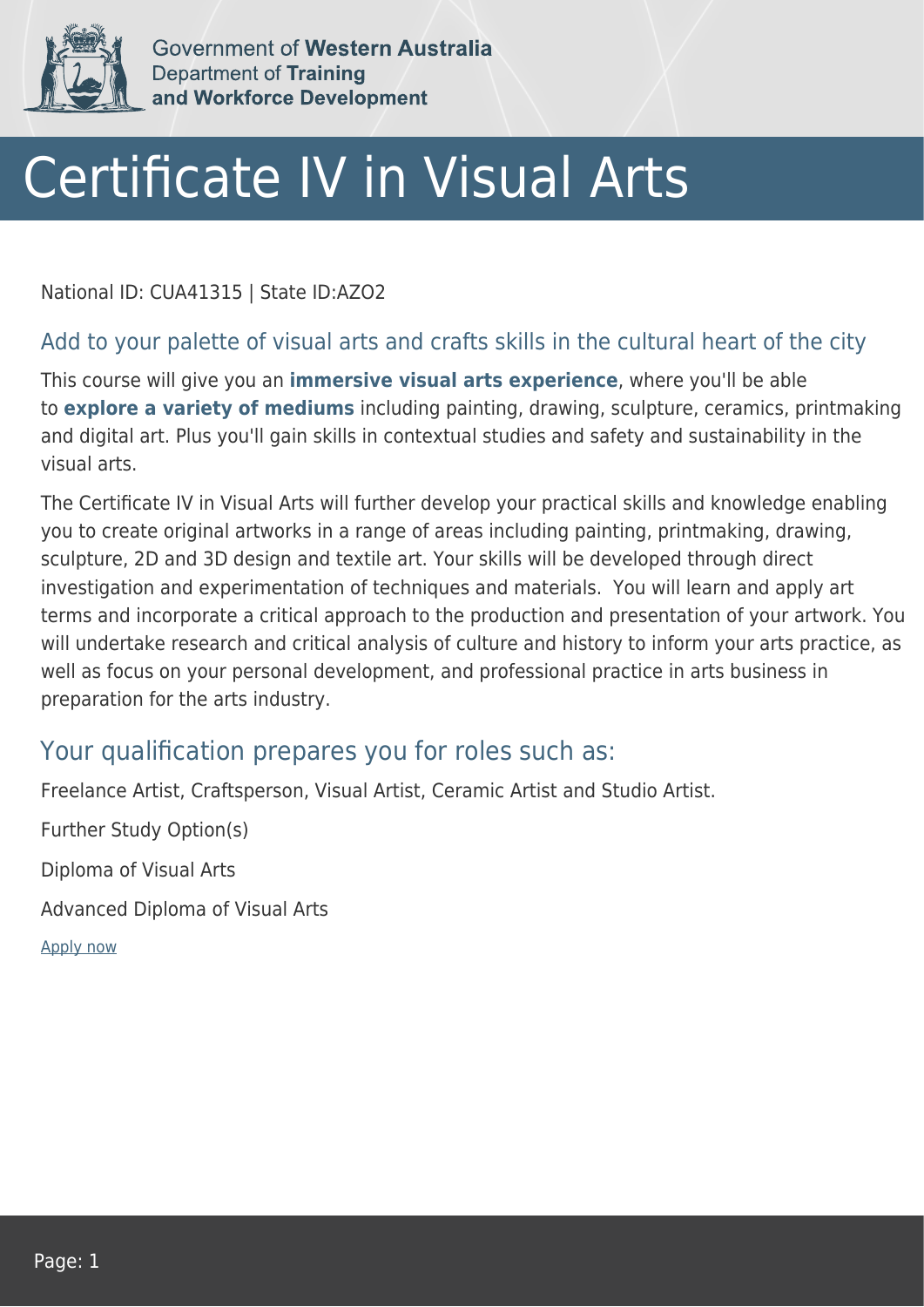

Government of Western Australia Department of Training and Workforce Development

## Certificate IV in Visual Arts

National ID: CUA41315 | State ID:AZO2

## Add to your palette of visual arts and crafts skills in the cultural heart of the city

This course will give you an **immersive visual arts experience**, where you'll be able to **explore a variety of mediums** including painting, drawing, sculpture, ceramics, printmaking and digital art. Plus you'll gain skills in contextual studies and safety and sustainability in the visual arts.

The Certificate IV in Visual Arts will further develop your practical skills and knowledge enabling you to create original artworks in a range of areas including painting, printmaking, drawing, sculpture, 2D and 3D design and textile art. Your skills will be developed through direct investigation and experimentation of techniques and materials. You will learn and apply art terms and incorporate a critical approach to the production and presentation of your artwork. You will undertake research and critical analysis of culture and history to inform your arts practice, as well as focus on your personal development, and professional practice in arts business in preparation for the arts industry.

## Your qualification prepares you for roles such as:

Freelance Artist, Craftsperson, Visual Artist, Ceramic Artist and Studio Artist.

Further Study Option(s)

Diploma of Visual Arts

Advanced Diploma of Visual Arts

[Apply now](https://tasonline.tafe.wa.edu.au/Default.aspx)